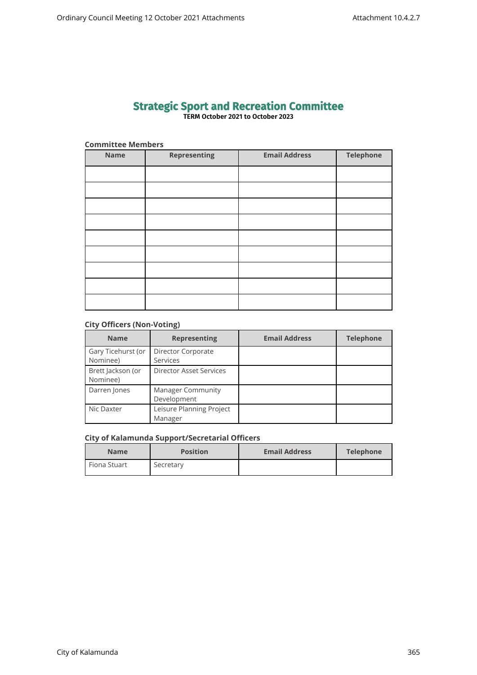# **Strategic Sport and Recreation Committee TERM October 2021 to October 2023**

# **Committee Members**

| <b>Name</b> | <b>Representing</b> | <b>Email Address</b> | Telephone |
|-------------|---------------------|----------------------|-----------|
|             |                     |                      |           |
|             |                     |                      |           |
|             |                     |                      |           |
|             |                     |                      |           |
|             |                     |                      |           |
|             |                     |                      |           |
|             |                     |                      |           |
|             |                     |                      |           |
|             |                     |                      |           |

# **City Officers (Non-Voting)**

| <b>Name</b>        | <b>Representing</b>      | <b>Email Address</b> | <b>Telephone</b> |
|--------------------|--------------------------|----------------------|------------------|
| Gary Ticehurst (or | Director Corporate       |                      |                  |
| Nominee)           | Services                 |                      |                  |
| Brett Jackson (or  | Director Asset Services  |                      |                  |
| Nominee)           |                          |                      |                  |
| Darren Jones       | <b>Manager Community</b> |                      |                  |
|                    | Development              |                      |                  |
| Nic Daxter         | Leisure Planning Project |                      |                  |
|                    | Manager                  |                      |                  |

# **City of Kalamunda Support/Secretarial Officers**

| <b>Name</b>    | <b>Position</b> | <b>Email Address</b> | Telephone |
|----------------|-----------------|----------------------|-----------|
| l Fiona Stuart | Secretary       |                      |           |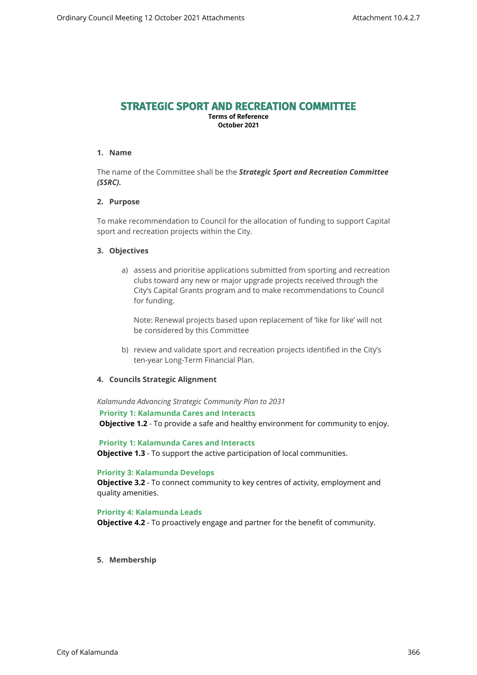# **STRATEGIC SPORT AND RECREATION COMMITTEE**

**Terms of Reference October 2021**

#### **1. Name**

The name of the Committee shall be the *Strategic Sport and Recreation Committee (SSRC).*

# **2. Purpose**

To make recommendation to Council for the allocation of funding to support Capital sport and recreation projects within the City.

#### **3. Objectives**

a) assess and prioritise applications submitted from sporting and recreation clubs toward any new or major upgrade projects received through the City's Capital Grants program and to make recommendations to Council for funding.

Note: Renewal projects based upon replacement of 'like for like' will not be considered by this Committee

b) review and validate sport and recreation projects identified in the City's ten-year Long-Term Financial Plan.

#### **4. Councils Strategic Alignment**

*Kalamunda Advancing Strategic Community Plan to 2031* 

**Priority 1: Kalamunda Cares and Interacts**

**Objective 1.2** - To provide a safe and healthy environment for community to enjoy.

 **Priority 1: Kalamunda Cares and Interacts Objective 1.3** - To support the active participation of local communities.

#### **Priority 3: Kalamunda Develops**

**Objective 3.2** - To connect community to key centres of activity, employment and quality amenities.

#### **Priority 4: Kalamunda Leads**

**Objective 4.2** - To proactively engage and partner for the benefit of community.

**5. Membership**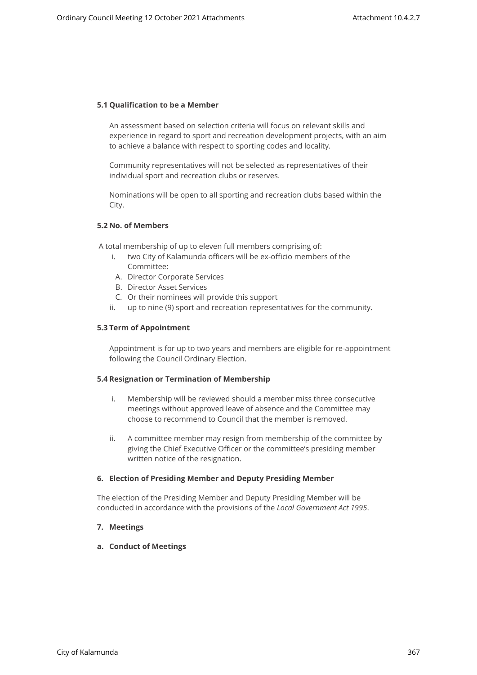# **5.1 Qualification to be a Member**

An assessment based on selection criteria will focus on relevant skills and experience in regard to sport and recreation development projects, with an aim to achieve a balance with respect to sporting codes and locality.

Community representatives will not be selected as representatives of their individual sport and recreation clubs or reserves.

Nominations will be open to all sporting and recreation clubs based within the City.

#### **5.2 No. of Members**

A total membership of up to eleven full members comprising of:

- i. two City of Kalamunda officers will be ex-officio members of the Committee:
- A. Director Corporate Services
- B. Director Asset Services
- C. Or their nominees will provide this support
- ii. up to nine (9) sport and recreation representatives for the community.

#### **5.3 Term of Appointment**

Appointment is for up to two years and members are eligible for re-appointment following the Council Ordinary Election.

#### **5.4 Resignation or Termination of Membership**

- i. Membership will be reviewed should a member miss three consecutive meetings without approved leave of absence and the Committee may choose to recommend to Council that the member is removed.
- ii. A committee member may resign from membership of the committee by giving the Chief Executive Officer or the committee's presiding member written notice of the resignation.

#### **6. Election of Presiding Member and Deputy Presiding Member**

The election of the Presiding Member and Deputy Presiding Member will be conducted in accordance with the provisions of the *Local Government Act 1995*.

# **7. Meetings**

**a. Conduct of Meetings**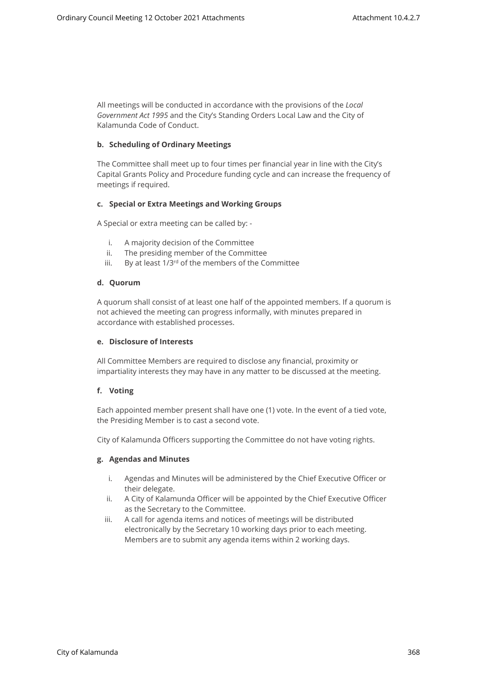All meetings will be conducted in accordance with the provisions of the *Local Government Act 1995* and the City's Standing Orders Local Law and the City of Kalamunda Code of Conduct.

# **b. Scheduling of Ordinary Meetings**

The Committee shall meet up to four times per financial year in line with the City's Capital Grants Policy and Procedure funding cycle and can increase the frequency of meetings if required.

#### **c. Special or Extra Meetings and Working Groups**

A Special or extra meeting can be called by: -

- i. A majority decision of the Committee
- ii. The presiding member of the Committee
- iii. By at least  $1/3^{rd}$  of the members of the Committee

#### **d. Quorum**

A quorum shall consist of at least one half of the appointed members. If a quorum is not achieved the meeting can progress informally, with minutes prepared in accordance with established processes.

#### **e. Disclosure of Interests**

All Committee Members are required to disclose any financial, proximity or impartiality interests they may have in any matter to be discussed at the meeting.

# **f. Voting**

Each appointed member present shall have one (1) vote. In the event of a tied vote, the Presiding Member is to cast a second vote.

City of Kalamunda Officers supporting the Committee do not have voting rights.

# **g. Agendas and Minutes**

- i. Agendas and Minutes will be administered by the Chief Executive Officer or their delegate.
- ii. A City of Kalamunda Officer will be appointed by the Chief Executive Officer as the Secretary to the Committee.
- iii. A call for agenda items and notices of meetings will be distributed electronically by the Secretary 10 working days prior to each meeting. Members are to submit any agenda items within 2 working days.